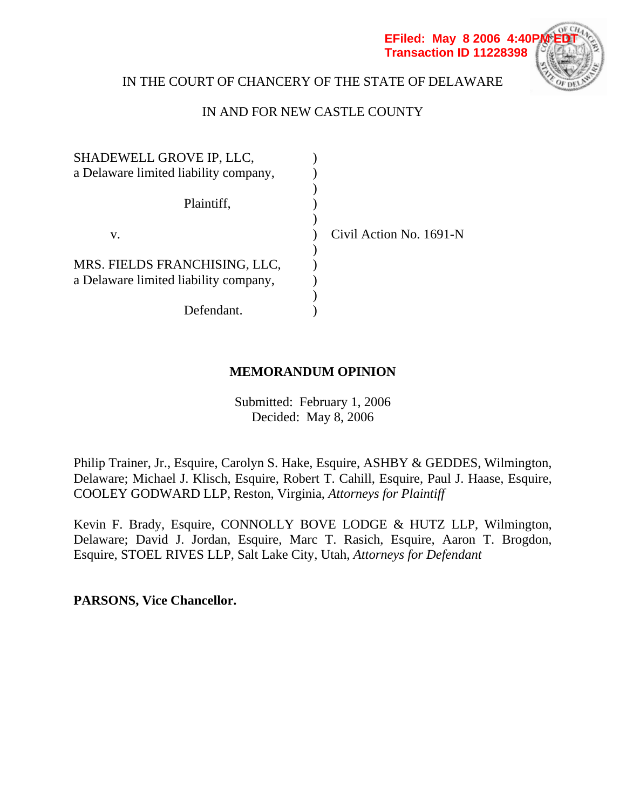

# IN THE COURT OF CHANCERY OF THE STATE OF DELAWARE

# IN AND FOR NEW CASTLE COUNTY

| SHADEWELL GROVE IP, LLC,              |                         |
|---------------------------------------|-------------------------|
| a Delaware limited liability company, |                         |
|                                       |                         |
| Plaintiff,                            |                         |
|                                       |                         |
| v.                                    | Civil Action No. 1691-N |
|                                       |                         |
| MRS. FIELDS FRANCHISING, LLC,         |                         |
| a Delaware limited liability company, |                         |
|                                       |                         |
| Defendant.                            |                         |

# **MEMORANDUM OPINION**

Submitted: February 1, 2006 Decided: May 8, 2006

Philip Trainer, Jr., Esquire, Carolyn S. Hake, Esquire, ASHBY & GEDDES, Wilmington, Delaware; Michael J. Klisch, Esquire, Robert T. Cahill, Esquire, Paul J. Haase, Esquire, COOLEY GODWARD LLP, Reston, Virginia, *Attorneys for Plaintiff* 

Kevin F. Brady, Esquire, CONNOLLY BOVE LODGE & HUTZ LLP, Wilmington, Delaware; David J. Jordan, Esquire, Marc T. Rasich, Esquire, Aaron T. Brogdon, Esquire, STOEL RIVES LLP, Salt Lake City, Utah, *Attorneys for Defendant*

**PARSONS, Vice Chancellor.**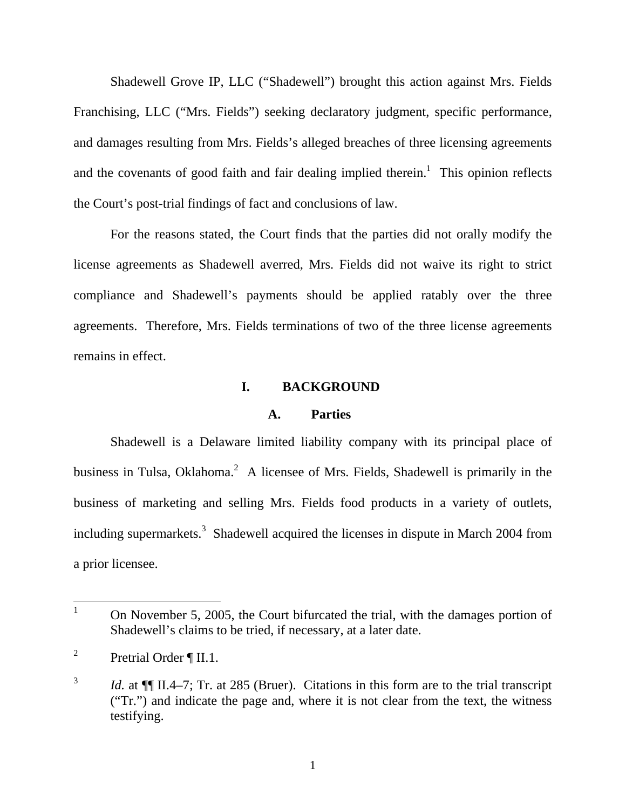Shadewell Grove IP, LLC ("Shadewell") brought this action against Mrs. Fields Franchising, LLC ("Mrs. Fields") seeking declaratory judgment, specific performance, and damages resulting from Mrs. Fields's alleged breaches of three licensing agreements and the covenants of good faith and fair dealing implied therein.<sup>1</sup> This opinion reflects the Court's post-trial findings of fact and conclusions of law.

For the reasons stated, the Court finds that the parties did not orally modify the license agreements as Shadewell averred, Mrs. Fields did not waive its right to strict compliance and Shadewell's payments should be applied ratably over the three agreements. Therefore, Mrs. Fields terminations of two of the three license agreements remains in effect.

#### **I. BACKGROUND**

#### **A. Parties**

Shadewell is a Delaware limited liability company with its principal place of business in Tulsa, Oklahoma.<sup>2</sup> A licensee of Mrs. Fields, Shadewell is primarily in the business of marketing and selling Mrs. Fields food products in a variety of outlets, including supermarkets.<sup>3</sup> Shadewell acquired the licenses in dispute in March 2004 from a prior licensee.

 $\overline{a}$ 

<sup>1</sup> On November 5, 2005, the Court bifurcated the trial, with the damages portion of Shadewell's claims to be tried, if necessary, at a later date.

<sup>2</sup> Pretrial Order ¶ II.1.

<sup>&</sup>lt;sup>3</sup> *Id.* at ¶ II.4–7; Tr. at 285 (Bruer). Citations in this form are to the trial transcript ("Tr.") and indicate the page and, where it is not clear from the text, the witness testifying.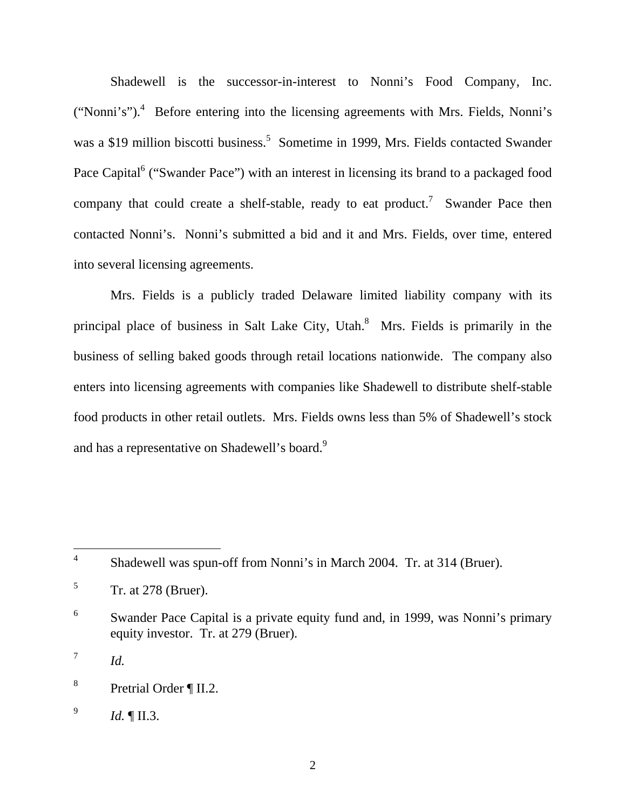Shadewell is the successor-in-interest to Nonni's Food Company, Inc. ("Nonni's").<sup>4</sup> Before entering into the licensing agreements with Mrs. Fields, Nonni's was a \$19 million biscotti business.<sup>5</sup> Sometime in 1999, Mrs. Fields contacted Swander Pace Capital<sup>6</sup> ("Swander Pace") with an interest in licensing its brand to a packaged food company that could create a shelf-stable, ready to eat product.<sup>7</sup> Swander Pace then contacted Nonni's. Nonni's submitted a bid and it and Mrs. Fields, over time, entered into several licensing agreements.

Mrs. Fields is a publicly traded Delaware limited liability company with its principal place of business in Salt Lake City, Utah. $8$  Mrs. Fields is primarily in the business of selling baked goods through retail locations nationwide. The company also enters into licensing agreements with companies like Shadewell to distribute shelf-stable food products in other retail outlets. Mrs. Fields owns less than 5% of Shadewell's stock and has a representative on Shadewell's board.<sup>9</sup>

 $^7$  *Id.* 

 $\overline{a}$ 

<sup>4</sup> Shadewell was spun-off from Nonni's in March 2004. Tr. at 314 (Bruer).

<sup>5</sup> Tr. at 278 (Bruer).

<sup>6</sup> Swander Pace Capital is a private equity fund and, in 1999, was Nonni's primary equity investor. Tr. at 279 (Bruer).

<sup>8</sup> Pretrial Order ¶ II.2.

<sup>9</sup> *Id.* ¶ II.3.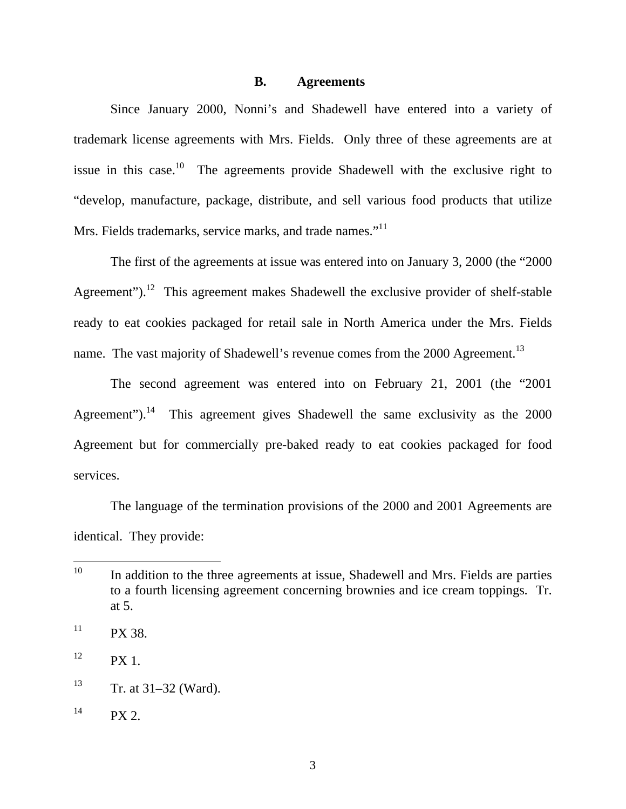#### **B. Agreements**

Since January 2000, Nonni's and Shadewell have entered into a variety of trademark license agreements with Mrs. Fields. Only three of these agreements are at issue in this case.<sup>10</sup> The agreements provide Shadewell with the exclusive right to "develop, manufacture, package, distribute, and sell various food products that utilize Mrs. Fields trademarks, service marks, and trade names."<sup>11</sup>

The first of the agreements at issue was entered into on January 3, 2000 (the "2000 Agreement").<sup>12</sup> This agreement makes Shadewell the exclusive provider of shelf-stable ready to eat cookies packaged for retail sale in North America under the Mrs. Fields name. The vast majority of Shadewell's revenue comes from the 2000 Agreement.<sup>13</sup>

The second agreement was entered into on February 21, 2001 (the "2001 Agreement").<sup>14</sup> This agreement gives Shadewell the same exclusivity as the 2000 Agreement but for commercially pre-baked ready to eat cookies packaged for food services.

The language of the termination provisions of the 2000 and 2001 Agreements are identical. They provide:

 $10<sup>10</sup>$ In addition to the three agreements at issue, Shadewell and Mrs. Fields are parties to a fourth licensing agreement concerning brownies and ice cream toppings. Tr. at 5.

 $11$  PX 38.

 $12$  PX 1.

 $13$  Tr. at 31–32 (Ward).

 $14$  PX 2.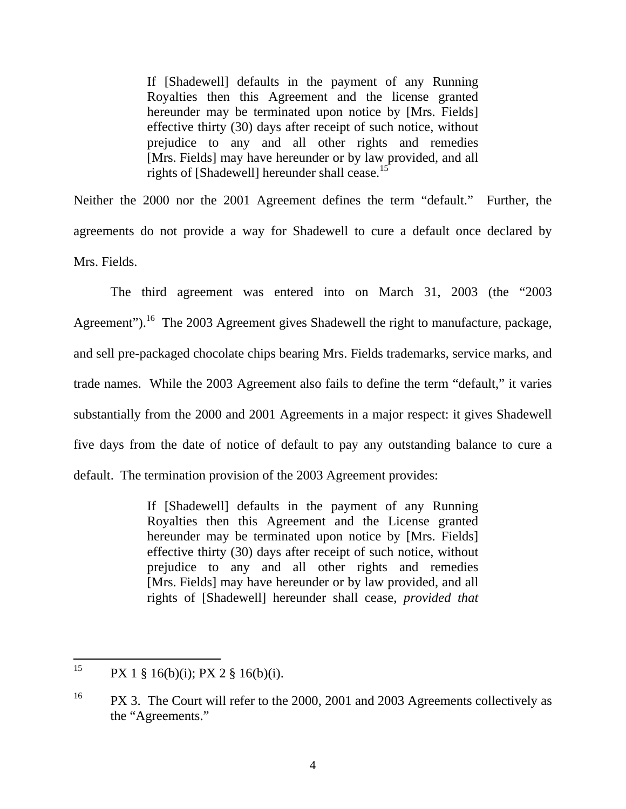If [Shadewell] defaults in the payment of any Running Royalties then this Agreement and the license granted hereunder may be terminated upon notice by [Mrs. Fields] effective thirty (30) days after receipt of such notice, without prejudice to any and all other rights and remedies [Mrs. Fields] may have hereunder or by law provided, and all rights of [Shadewell] hereunder shall cease.<sup>15</sup>

Neither the 2000 nor the 2001 Agreement defines the term "default." Further, the agreements do not provide a way for Shadewell to cure a default once declared by Mrs. Fields.

The third agreement was entered into on March 31, 2003 (the "2003 Agreement").<sup>16</sup> The 2003 Agreement gives Shadewell the right to manufacture, package, and sell pre-packaged chocolate chips bearing Mrs. Fields trademarks, service marks, and trade names. While the 2003 Agreement also fails to define the term "default," it varies substantially from the 2000 and 2001 Agreements in a major respect: it gives Shadewell five days from the date of notice of default to pay any outstanding balance to cure a default. The termination provision of the 2003 Agreement provides:

> If [Shadewell] defaults in the payment of any Running Royalties then this Agreement and the License granted hereunder may be terminated upon notice by [Mrs. Fields] effective thirty (30) days after receipt of such notice, without prejudice to any and all other rights and remedies [Mrs. Fields] may have hereunder or by law provided, and all rights of [Shadewell] hereunder shall cease, *provided that*

<sup>15</sup> PX 1 § 16(b)(i); PX 2 § 16(b)(i).

<sup>&</sup>lt;sup>16</sup> PX 3. The Court will refer to the 2000, 2001 and 2003 Agreements collectively as the "Agreements."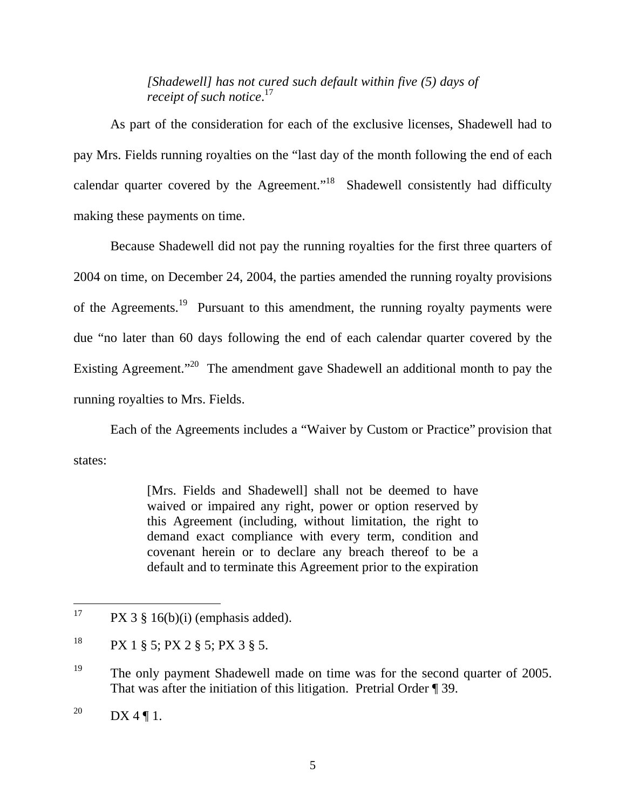*[Shadewell] has not cured such default within five (5) days of receipt of such notice*. 17

As part of the consideration for each of the exclusive licenses, Shadewell had to pay Mrs. Fields running royalties on the "last day of the month following the end of each calendar quarter covered by the Agreement."<sup>18</sup> Shadewell consistently had difficulty making these payments on time.

Because Shadewell did not pay the running royalties for the first three quarters of 2004 on time, on December 24, 2004, the parties amended the running royalty provisions of the Agreements.<sup>19</sup> Pursuant to this amendment, the running royalty payments were due "no later than 60 days following the end of each calendar quarter covered by the Existing Agreement."<sup>20</sup> The amendment gave Shadewell an additional month to pay the running royalties to Mrs. Fields.

Each of the Agreements includes a "Waiver by Custom or Practice" provision that states:

> [Mrs. Fields and Shadewell] shall not be deemed to have waived or impaired any right, power or option reserved by this Agreement (including, without limitation, the right to demand exact compliance with every term, condition and covenant herein or to declare any breach thereof to be a default and to terminate this Agreement prior to the expiration

 $17$  $PX$  3 § 16(b)(i) (emphasis added).

 $18$  PX 1 § 5; PX 2 § 5; PX 3 § 5.

<sup>&</sup>lt;sup>19</sup> The only payment Shadewell made on time was for the second quarter of 2005. That was after the initiation of this litigation. Pretrial Order ¶ 39.

<sup>&</sup>lt;sup>20</sup> DX 4 ¶ 1.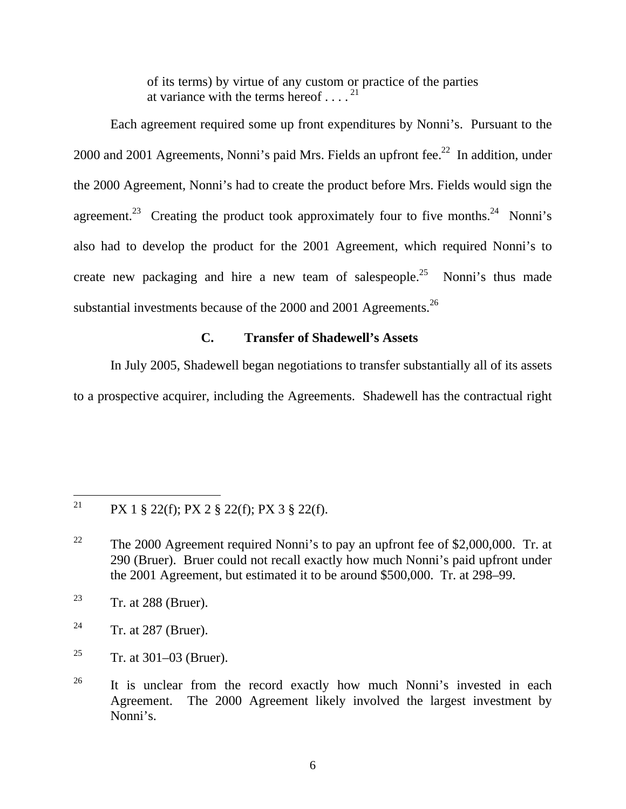of its terms) by virtue of any custom or practice of the parties at variance with the terms hereof  $\dots$ <sup>21</sup>

Each agreement required some up front expenditures by Nonni's. Pursuant to the 2000 and 2001 Agreements, Nonni's paid Mrs. Fields an upfront fee.<sup>22</sup> In addition, under the 2000 Agreement, Nonni's had to create the product before Mrs. Fields would sign the agreement.<sup>23</sup> Creating the product took approximately four to five months.<sup>24</sup> Nonni's also had to develop the product for the 2001 Agreement, which required Nonni's to create new packaging and hire a new team of salespeople.<sup>25</sup> Nonni's thus made substantial investments because of the 2000 and 2001 Agreements.<sup>26</sup>

# **C. Transfer of Shadewell's Assets**

In July 2005, Shadewell began negotiations to transfer substantially all of its assets to a prospective acquirer, including the Agreements. Shadewell has the contractual right

<sup>21</sup> 21 PX 1 § 22(f); PX 2 § 22(f); PX 3 § 22(f).

<sup>&</sup>lt;sup>22</sup> The 2000 Agreement required Nonni's to pay an upfront fee of \$2,000,000. Tr. at 290 (Bruer). Bruer could not recall exactly how much Nonni's paid upfront under the 2001 Agreement, but estimated it to be around \$500,000. Tr. at 298–99.

<sup>&</sup>lt;sup>23</sup> Tr. at 288 (Bruer).

<sup>&</sup>lt;sup>24</sup> Tr. at 287 (Bruer).

<sup>&</sup>lt;sup>25</sup> Tr. at 301–03 (Bruer).

<sup>&</sup>lt;sup>26</sup> It is unclear from the record exactly how much Nonni's invested in each Agreement. The 2000 Agreement likely involved the largest investment by Nonni's.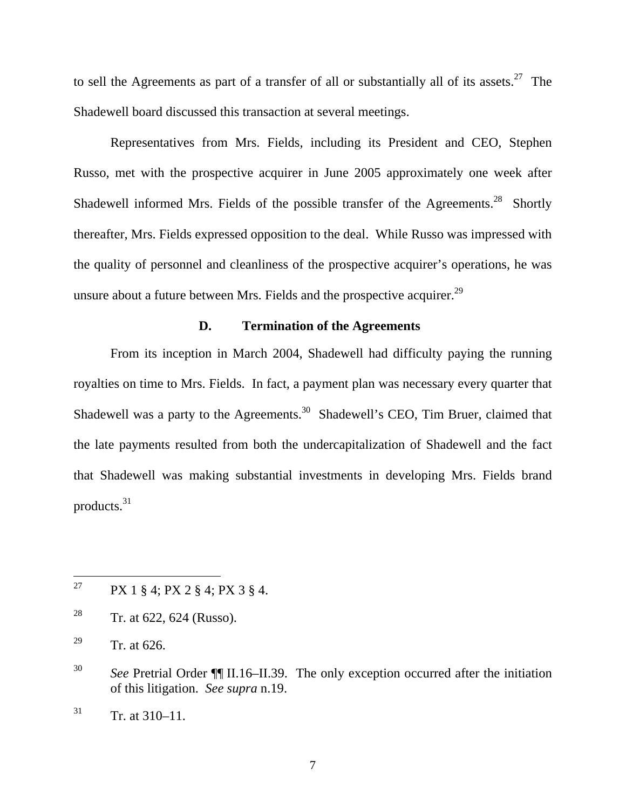to sell the Agreements as part of a transfer of all or substantially all of its assets.<sup>27</sup> The Shadewell board discussed this transaction at several meetings.

Representatives from Mrs. Fields, including its President and CEO, Stephen Russo, met with the prospective acquirer in June 2005 approximately one week after Shadewell informed Mrs. Fields of the possible transfer of the Agreements.<sup>28</sup> Shortly thereafter, Mrs. Fields expressed opposition to the deal. While Russo was impressed with the quality of personnel and cleanliness of the prospective acquirer's operations, he was unsure about a future between Mrs. Fields and the prospective acquirer. $^{29}$ 

#### **D. Termination of the Agreements**

From its inception in March 2004, Shadewell had difficulty paying the running royalties on time to Mrs. Fields. In fact, a payment plan was necessary every quarter that Shadewell was a party to the Agreements.<sup>30</sup> Shadewell's CEO, Tim Bruer, claimed that the late payments resulted from both the undercapitalization of Shadewell and the fact that Shadewell was making substantial investments in developing Mrs. Fields brand products.31

<sup>27</sup> PX 1 § 4; PX 2 § 4; PX 3 § 4.

<sup>&</sup>lt;sup>28</sup> Tr. at 622, 624 (Russo).

<sup>&</sup>lt;sup>29</sup> Tr. at 626.

<sup>30</sup> *See* Pretrial Order ¶¶ II.16–II.39. The only exception occurred after the initiation of this litigation. *See supra* n.19.

 $31$  Tr. at 310–11.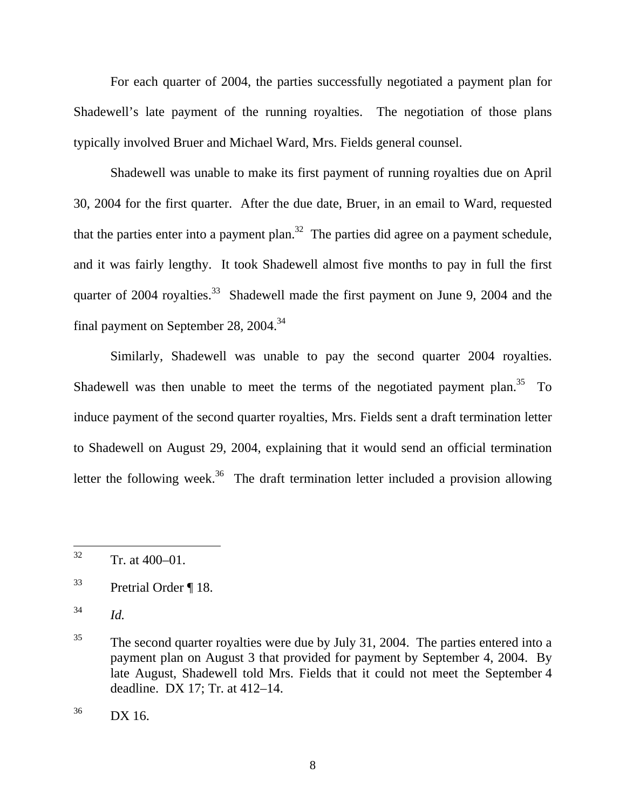For each quarter of 2004, the parties successfully negotiated a payment plan for Shadewell's late payment of the running royalties. The negotiation of those plans typically involved Bruer and Michael Ward, Mrs. Fields general counsel.

Shadewell was unable to make its first payment of running royalties due on April 30, 2004 for the first quarter. After the due date, Bruer, in an email to Ward, requested that the parties enter into a payment plan.<sup>32</sup> The parties did agree on a payment schedule, and it was fairly lengthy. It took Shadewell almost five months to pay in full the first quarter of  $2004$  royalties.<sup>33</sup> Shadewell made the first payment on June 9, 2004 and the final payment on September 28, 2004.<sup>34</sup>

Similarly, Shadewell was unable to pay the second quarter 2004 royalties. Shadewell was then unable to meet the terms of the negotiated payment plan. $35$  To induce payment of the second quarter royalties, Mrs. Fields sent a draft termination letter to Shadewell on August 29, 2004, explaining that it would send an official termination letter the following week.<sup>36</sup> The draft termination letter included a provision allowing

<sup>32</sup>  $Tr.$  at 400–01.

<sup>33</sup> Pretrial Order ¶ 18.

<sup>34</sup> *Id.*

<sup>&</sup>lt;sup>35</sup> The second quarter royalties were due by July 31, 2004. The parties entered into a payment plan on August 3 that provided for payment by September 4, 2004. By late August, Shadewell told Mrs. Fields that it could not meet the September 4 deadline. DX 17; Tr. at 412–14.

 $36$  DX 16.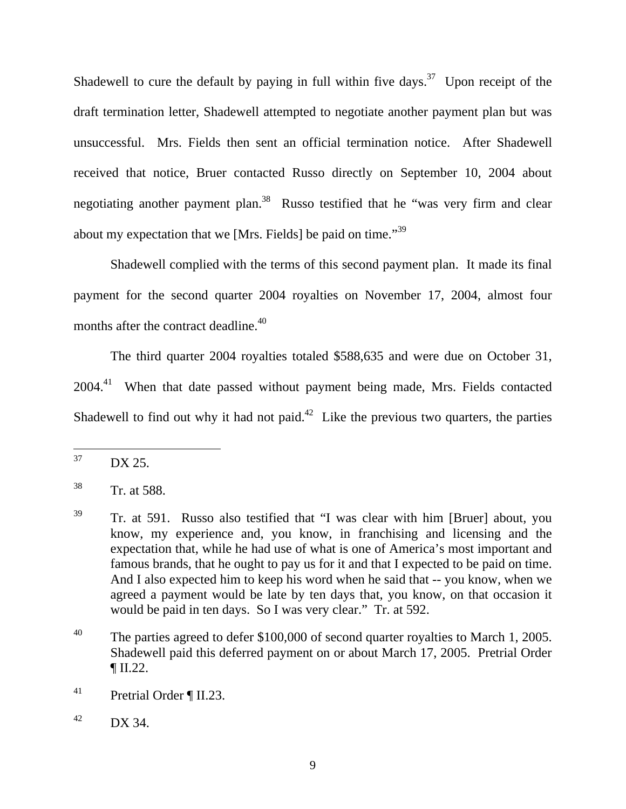Shadewell to cure the default by paying in full within five days.<sup>37</sup> Upon receipt of the draft termination letter, Shadewell attempted to negotiate another payment plan but was unsuccessful. Mrs. Fields then sent an official termination notice. After Shadewell received that notice, Bruer contacted Russo directly on September 10, 2004 about negotiating another payment plan.<sup>38</sup> Russo testified that he "was very firm and clear about my expectation that we [Mrs. Fields] be paid on time."<sup>39</sup>

Shadewell complied with the terms of this second payment plan. It made its final payment for the second quarter 2004 royalties on November 17, 2004, almost four months after the contract deadline.<sup>40</sup>

The third quarter 2004 royalties totaled \$588,635 and were due on October 31, 2004.<sup>41</sup> When that date passed without payment being made, Mrs. Fields contacted Shadewell to find out why it had not paid.<sup>42</sup> Like the previous two quarters, the parties

<sup>37</sup> DX 25.

<sup>38</sup> Tr. at 588.

<sup>&</sup>lt;sup>39</sup> Tr. at 591. Russo also testified that "I was clear with him [Bruer] about, you know, my experience and, you know, in franchising and licensing and the expectation that, while he had use of what is one of America's most important and famous brands, that he ought to pay us for it and that I expected to be paid on time. And I also expected him to keep his word when he said that -- you know, when we agreed a payment would be late by ten days that, you know, on that occasion it would be paid in ten days. So I was very clear." Tr. at 592.

<sup>&</sup>lt;sup>40</sup> The parties agreed to defer \$100,000 of second quarter royalties to March 1, 2005. Shadewell paid this deferred payment on or about March 17, 2005. Pretrial Order ¶ II.22.

<sup>41</sup> Pretrial Order ¶ II.23.

 $^{42}$  DX 34.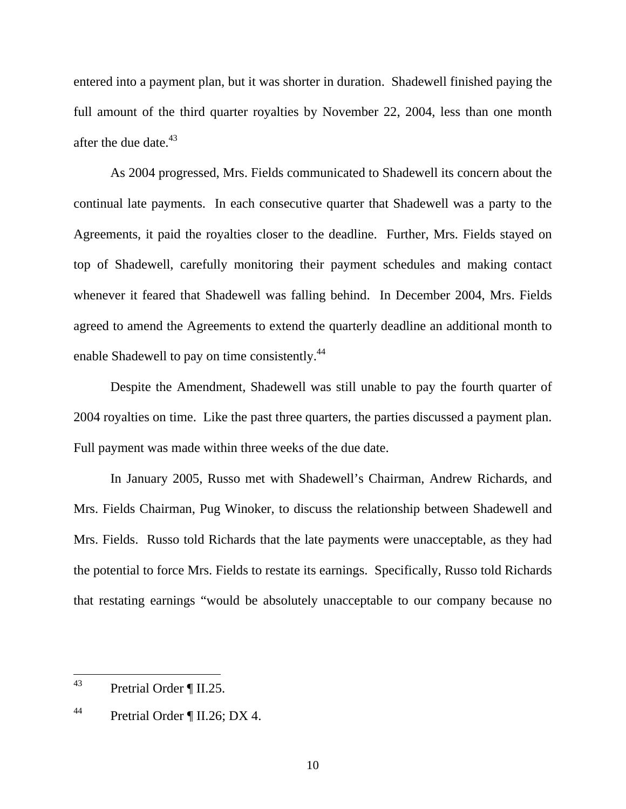entered into a payment plan, but it was shorter in duration. Shadewell finished paying the full amount of the third quarter royalties by November 22, 2004, less than one month after the due date. $43$ 

As 2004 progressed, Mrs. Fields communicated to Shadewell its concern about the continual late payments. In each consecutive quarter that Shadewell was a party to the Agreements, it paid the royalties closer to the deadline. Further, Mrs. Fields stayed on top of Shadewell, carefully monitoring their payment schedules and making contact whenever it feared that Shadewell was falling behind. In December 2004, Mrs. Fields agreed to amend the Agreements to extend the quarterly deadline an additional month to enable Shadewell to pay on time consistently.<sup>44</sup>

Despite the Amendment, Shadewell was still unable to pay the fourth quarter of 2004 royalties on time. Like the past three quarters, the parties discussed a payment plan. Full payment was made within three weeks of the due date.

In January 2005, Russo met with Shadewell's Chairman, Andrew Richards, and Mrs. Fields Chairman, Pug Winoker, to discuss the relationship between Shadewell and Mrs. Fields. Russo told Richards that the late payments were unacceptable, as they had the potential to force Mrs. Fields to restate its earnings. Specifically, Russo told Richards that restating earnings "would be absolutely unacceptable to our company because no

<sup>43</sup> Pretrial Order ¶ II.25.

<sup>44</sup> Pretrial Order ¶ II.26; DX 4.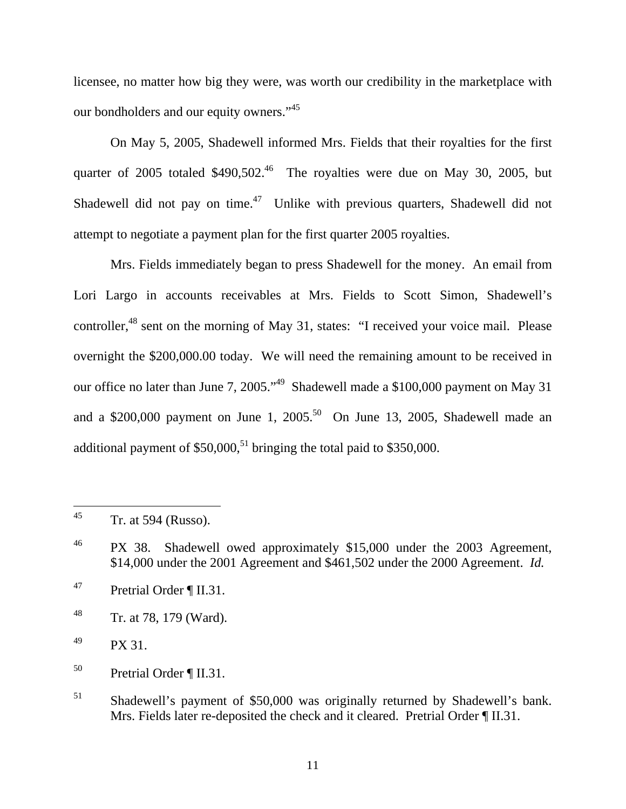licensee, no matter how big they were, was worth our credibility in the marketplace with our bondholders and our equity owners."<sup>45</sup>

On May 5, 2005, Shadewell informed Mrs. Fields that their royalties for the first quarter of 2005 totaled  $$490,502<sup>46</sup>$  The royalties were due on May 30, 2005, but Shadewell did not pay on time.<sup>47</sup> Unlike with previous quarters, Shadewell did not attempt to negotiate a payment plan for the first quarter 2005 royalties.

Mrs. Fields immediately began to press Shadewell for the money. An email from Lori Largo in accounts receivables at Mrs. Fields to Scott Simon, Shadewell's controller,<sup>48</sup> sent on the morning of May 31, states: "I received your voice mail. Please overnight the \$200,000.00 today. We will need the remaining amount to be received in our office no later than June 7, 2005."<sup>49</sup> Shadewell made a \$100,000 payment on May 31 and a \$200,000 payment on June 1,  $2005$ <sup>50</sup> On June 13, 2005, Shadewell made an additional payment of  $$50,000$ ,<sup>51</sup> bringing the total paid to  $$350,000$ .

 $^{49}$  PX 31.

<sup>45</sup> Tr. at 594 (Russo).

<sup>&</sup>lt;sup>46</sup> PX 38. Shadewell owed approximately \$15,000 under the 2003 Agreement, \$14,000 under the 2001 Agreement and \$461,502 under the 2000 Agreement. *Id.*

<sup>47</sup> Pretrial Order ¶ II.31.

<sup>48</sup> Tr. at 78, 179 (Ward).

<sup>50</sup> Pretrial Order ¶ II.31.

<sup>&</sup>lt;sup>51</sup> Shadewell's payment of \$50,000 was originally returned by Shadewell's bank. Mrs. Fields later re-deposited the check and it cleared. Pretrial Order ¶ II.31.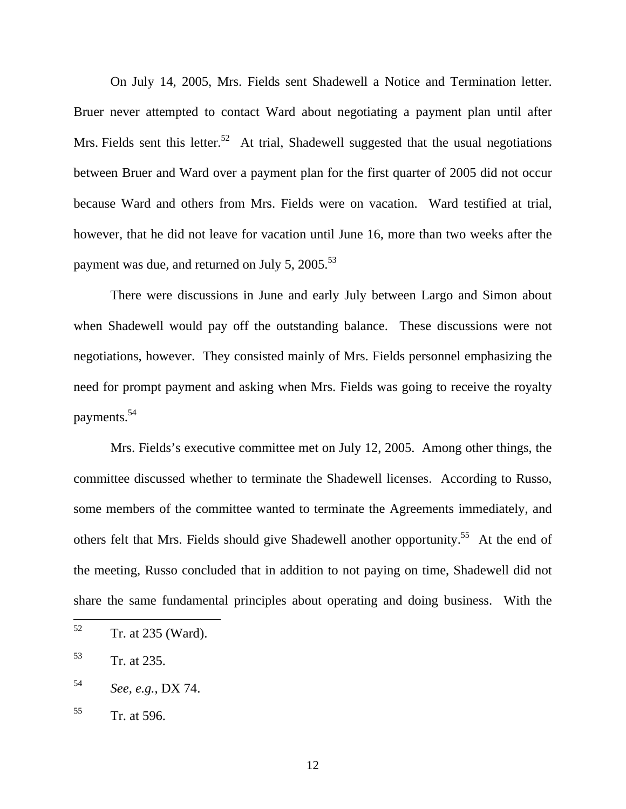On July 14, 2005, Mrs. Fields sent Shadewell a Notice and Termination letter. Bruer never attempted to contact Ward about negotiating a payment plan until after Mrs. Fields sent this letter.<sup>52</sup> At trial, Shadewell suggested that the usual negotiations between Bruer and Ward over a payment plan for the first quarter of 2005 did not occur because Ward and others from Mrs. Fields were on vacation. Ward testified at trial, however, that he did not leave for vacation until June 16, more than two weeks after the payment was due, and returned on July 5, 2005.<sup>53</sup>

There were discussions in June and early July between Largo and Simon about when Shadewell would pay off the outstanding balance. These discussions were not negotiations, however. They consisted mainly of Mrs. Fields personnel emphasizing the need for prompt payment and asking when Mrs. Fields was going to receive the royalty payments.54

Mrs. Fields's executive committee met on July 12, 2005. Among other things, the committee discussed whether to terminate the Shadewell licenses. According to Russo, some members of the committee wanted to terminate the Agreements immediately, and others felt that Mrs. Fields should give Shadewell another opportunity.<sup>55</sup> At the end of the meeting, Russo concluded that in addition to not paying on time, Shadewell did not share the same fundamental principles about operating and doing business. With the

<sup>52</sup> Tr. at 235 (Ward).

<sup>53</sup> Tr. at 235.

<sup>54</sup> *See, e.g.*, DX 74.

 $55$  Tr. at 596.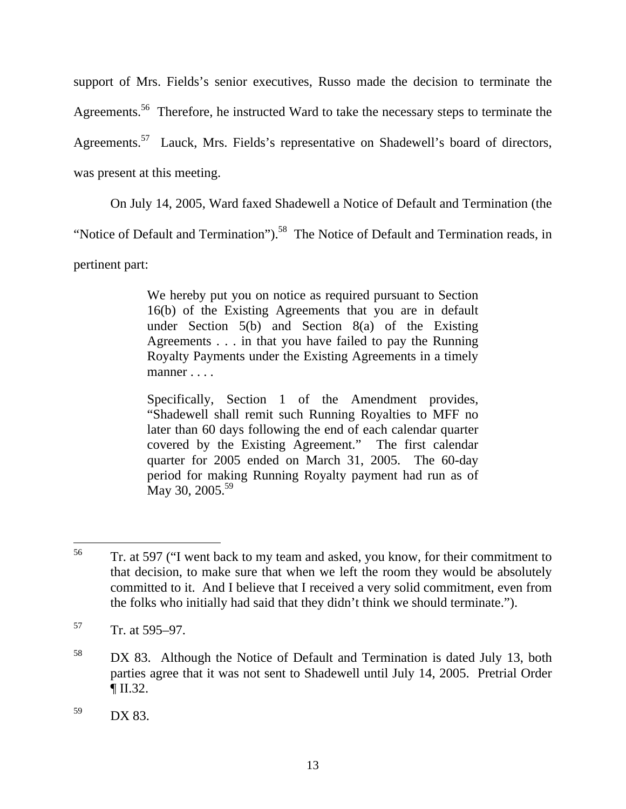support of Mrs. Fields's senior executives, Russo made the decision to terminate the Agreements.<sup>56</sup> Therefore, he instructed Ward to take the necessary steps to terminate the Agreements.<sup>57</sup> Lauck, Mrs. Fields's representative on Shadewell's board of directors, was present at this meeting.

On July 14, 2005, Ward faxed Shadewell a Notice of Default and Termination (the

"Notice of Default and Termination").<sup>58</sup> The Notice of Default and Termination reads, in

pertinent part:

We hereby put you on notice as required pursuant to Section 16(b) of the Existing Agreements that you are in default under Section 5(b) and Section 8(a) of the Existing Agreements . . . in that you have failed to pay the Running Royalty Payments under the Existing Agreements in a timely manner . . . .

Specifically, Section 1 of the Amendment provides, "Shadewell shall remit such Running Royalties to MFF no later than 60 days following the end of each calendar quarter covered by the Existing Agreement." The first calendar quarter for 2005 ended on March 31, 2005. The 60-day period for making Running Royalty payment had run as of  $\rm{Mav}$  30, 2005.<sup>59</sup>

<sup>56</sup> 56 Tr. at 597 ("I went back to my team and asked, you know, for their commitment to that decision, to make sure that when we left the room they would be absolutely committed to it. And I believe that I received a very solid commitment, even from the folks who initially had said that they didn't think we should terminate.").

 $57$  Tr. at 595–97.

<sup>&</sup>lt;sup>58</sup> DX 83. Although the Notice of Default and Termination is dated July 13, both parties agree that it was not sent to Shadewell until July 14, 2005. Pretrial Order  $\P$  II.32.

 $59$  DX 83.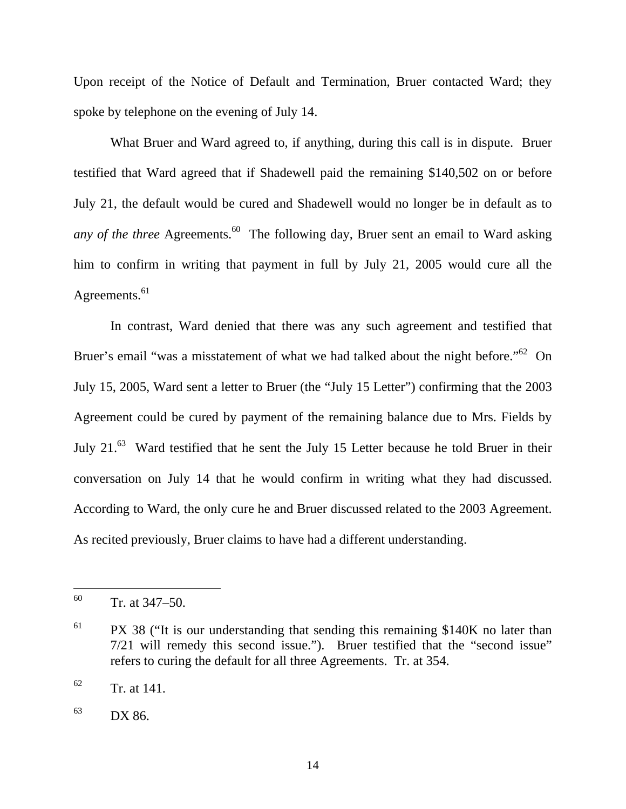Upon receipt of the Notice of Default and Termination, Bruer contacted Ward; they spoke by telephone on the evening of July 14.

What Bruer and Ward agreed to, if anything, during this call is in dispute. Bruer testified that Ward agreed that if Shadewell paid the remaining \$140,502 on or before July 21, the default would be cured and Shadewell would no longer be in default as to *any of the three* Agreements.<sup>60</sup> The following day, Bruer sent an email to Ward asking him to confirm in writing that payment in full by July 21, 2005 would cure all the Agreements.<sup>61</sup>

In contrast, Ward denied that there was any such agreement and testified that Bruer's email "was a misstatement of what we had talked about the night before."<sup>62</sup> On July 15, 2005, Ward sent a letter to Bruer (the "July 15 Letter") confirming that the 2003 Agreement could be cured by payment of the remaining balance due to Mrs. Fields by July 21.<sup>63</sup> Ward testified that he sent the July 15 Letter because he told Bruer in their conversation on July 14 that he would confirm in writing what they had discussed. According to Ward, the only cure he and Bruer discussed related to the 2003 Agreement. As recited previously, Bruer claims to have had a different understanding.

<sup>60</sup> Tr. at  $347-50$ .

 $61$  PX 38 ("It is our understanding that sending this remaining \$140K no later than 7/21 will remedy this second issue."). Bruer testified that the "second issue" refers to curing the default for all three Agreements. Tr. at 354.

 $62$  Tr. at 141.

<sup>63</sup> DX 86.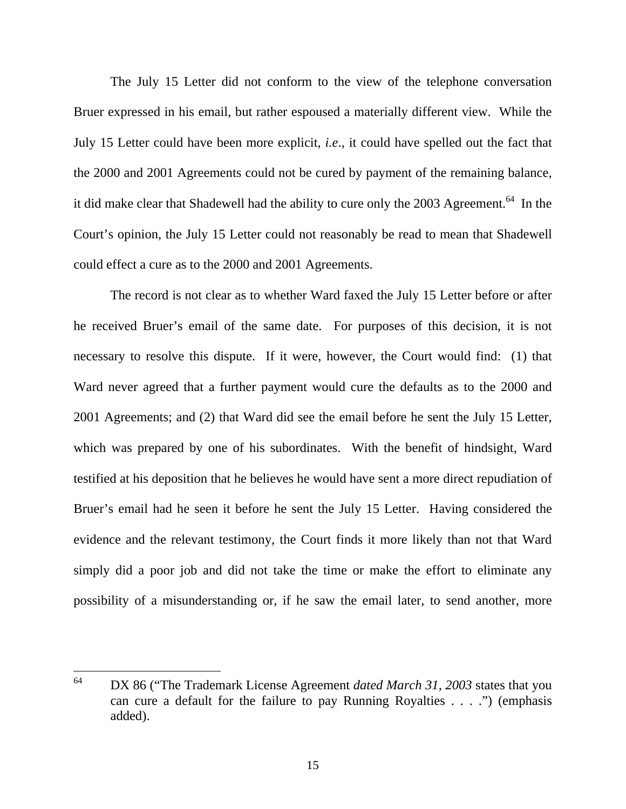The July 15 Letter did not conform to the view of the telephone conversation Bruer expressed in his email, but rather espoused a materially different view. While the July 15 Letter could have been more explicit, *i.e*., it could have spelled out the fact that the 2000 and 2001 Agreements could not be cured by payment of the remaining balance, it did make clear that Shadewell had the ability to cure only the 2003 Agreement.<sup>64</sup> In the Court's opinion, the July 15 Letter could not reasonably be read to mean that Shadewell could effect a cure as to the 2000 and 2001 Agreements.

The record is not clear as to whether Ward faxed the July 15 Letter before or after he received Bruer's email of the same date. For purposes of this decision, it is not necessary to resolve this dispute. If it were, however, the Court would find: (1) that Ward never agreed that a further payment would cure the defaults as to the 2000 and 2001 Agreements; and (2) that Ward did see the email before he sent the July 15 Letter, which was prepared by one of his subordinates. With the benefit of hindsight, Ward testified at his deposition that he believes he would have sent a more direct repudiation of Bruer's email had he seen it before he sent the July 15 Letter. Having considered the evidence and the relevant testimony, the Court finds it more likely than not that Ward simply did a poor job and did not take the time or make the effort to eliminate any possibility of a misunderstanding or, if he saw the email later, to send another, more

<sup>64</sup> 64 DX 86 ("The Trademark License Agreement *dated March 31, 2003* states that you can cure a default for the failure to pay Running Royalties . . . .") (emphasis added).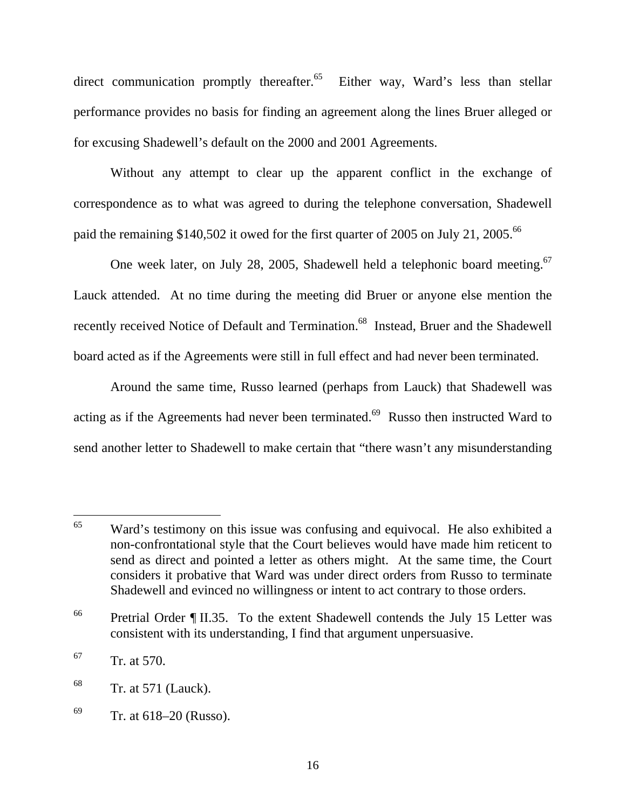direct communication promptly thereafter.<sup>65</sup> Either way, Ward's less than stellar performance provides no basis for finding an agreement along the lines Bruer alleged or for excusing Shadewell's default on the 2000 and 2001 Agreements.

Without any attempt to clear up the apparent conflict in the exchange of correspondence as to what was agreed to during the telephone conversation, Shadewell paid the remaining \$140,502 it owed for the first quarter of 2005 on July 21, 2005.<sup>66</sup>

One week later, on July 28, 2005, Shadewell held a telephonic board meeting.<sup>67</sup> Lauck attended. At no time during the meeting did Bruer or anyone else mention the recently received Notice of Default and Termination.<sup>68</sup> Instead, Bruer and the Shadewell board acted as if the Agreements were still in full effect and had never been terminated.

Around the same time, Russo learned (perhaps from Lauck) that Shadewell was acting as if the Agreements had never been terminated.<sup>69</sup> Russo then instructed Ward to send another letter to Shadewell to make certain that "there wasn't any misunderstanding

<sup>&</sup>lt;sup>65</sup> Ward's testimony on this issue was confusing and equivocal. He also exhibited a non-confrontational style that the Court believes would have made him reticent to send as direct and pointed a letter as others might. At the same time, the Court considers it probative that Ward was under direct orders from Russo to terminate Shadewell and evinced no willingness or intent to act contrary to those orders.

<sup>&</sup>lt;sup>66</sup> Pretrial Order ¶ II.35. To the extent Shadewell contends the July 15 Letter was consistent with its understanding, I find that argument unpersuasive.

 $^{67}$  Tr. at 570.

 $68$  Tr. at 571 (Lauck).

 $69$  Tr. at 618–20 (Russo).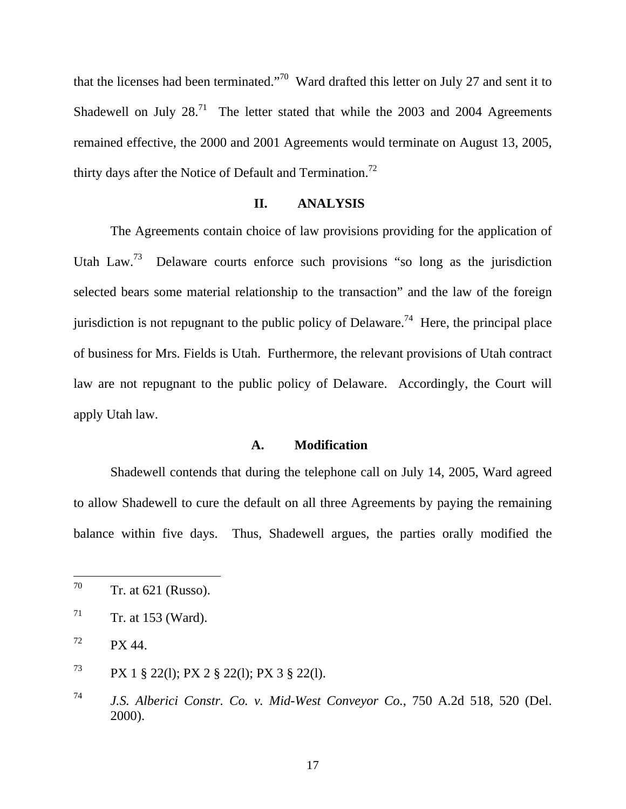that the licenses had been terminated."70 Ward drafted this letter on July 27 and sent it to Shadewell on July  $28.^{71}$  The letter stated that while the 2003 and 2004 Agreements remained effective, the 2000 and 2001 Agreements would terminate on August 13, 2005, thirty days after the Notice of Default and Termination.<sup>72</sup>

#### **II. ANALYSIS**

The Agreements contain choice of law provisions providing for the application of Utah Law.<sup>73</sup> Delaware courts enforce such provisions "so long as the jurisdiction selected bears some material relationship to the transaction" and the law of the foreign jurisdiction is not repugnant to the public policy of Delaware.<sup>74</sup> Here, the principal place of business for Mrs. Fields is Utah. Furthermore, the relevant provisions of Utah contract law are not repugnant to the public policy of Delaware. Accordingly, the Court will apply Utah law.

#### **A. Modification**

Shadewell contends that during the telephone call on July 14, 2005, Ward agreed to allow Shadewell to cure the default on all three Agreements by paying the remaining balance within five days. Thus, Shadewell argues, the parties orally modified the

<sup>70</sup> Tr. at  $621$  (Russo).

 $71$  Tr. at 153 (Ward).

 $72$  PX 44.

<sup>73</sup> PX 1 § 22(l); PX 2 § 22(l); PX 3 § 22(l).

<sup>74</sup> *J.S. Alberici Constr. Co. v. Mid-West Conveyor Co.*, 750 A.2d 518, 520 (Del. 2000).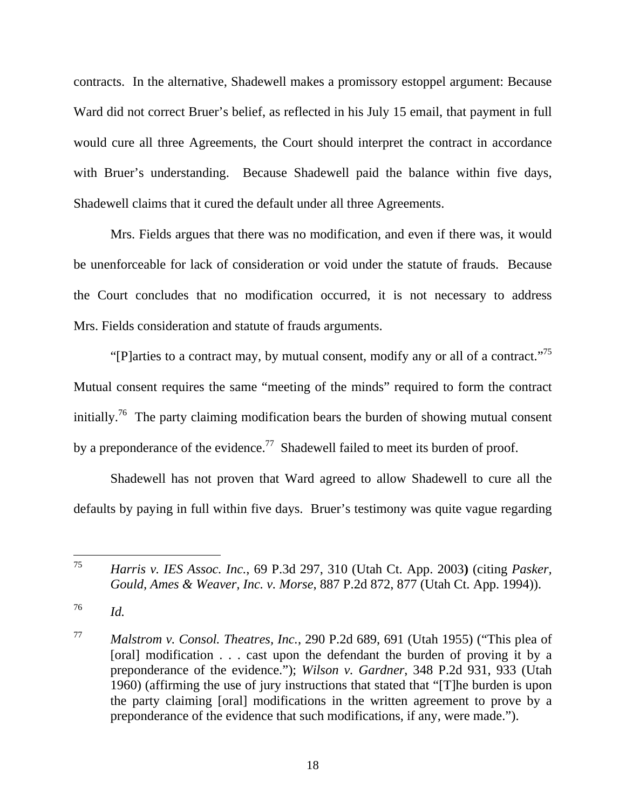contracts. In the alternative, Shadewell makes a promissory estoppel argument: Because Ward did not correct Bruer's belief, as reflected in his July 15 email, that payment in full would cure all three Agreements, the Court should interpret the contract in accordance with Bruer's understanding. Because Shadewell paid the balance within five days, Shadewell claims that it cured the default under all three Agreements.

Mrs. Fields argues that there was no modification, and even if there was, it would be unenforceable for lack of consideration or void under the statute of frauds. Because the Court concludes that no modification occurred, it is not necessary to address Mrs. Fields consideration and statute of frauds arguments.

"[P]arties to a contract may, by mutual consent, modify any or all of a contract."<sup>75</sup> Mutual consent requires the same "meeting of the minds" required to form the contract initially.<sup>76</sup> The party claiming modification bears the burden of showing mutual consent by a preponderance of the evidence.<sup>77</sup> Shadewell failed to meet its burden of proof.

Shadewell has not proven that Ward agreed to allow Shadewell to cure all the defaults by paying in full within five days. Bruer's testimony was quite vague regarding

<sup>75</sup> <sup>75</sup> *Harris v. IES Assoc. Inc.*, 69 P.3d 297, 310 (Utah Ct. App. 2003**)** (citing *Pasker, Gould, Ames & Weaver, Inc. v. Morse*, 887 P.2d 872, 877 (Utah Ct. App. 1994)).

<sup>76</sup> *Id.*

<sup>77</sup> *Malstrom v. Consol. Theatres, Inc.*, 290 P.2d 689, 691 (Utah 1955) ("This plea of [oral] modification . . . cast upon the defendant the burden of proving it by a preponderance of the evidence."); *Wilson v. Gardner*, 348 P.2d 931, 933 (Utah 1960) (affirming the use of jury instructions that stated that "[T]he burden is upon the party claiming [oral] modifications in the written agreement to prove by a preponderance of the evidence that such modifications, if any, were made.").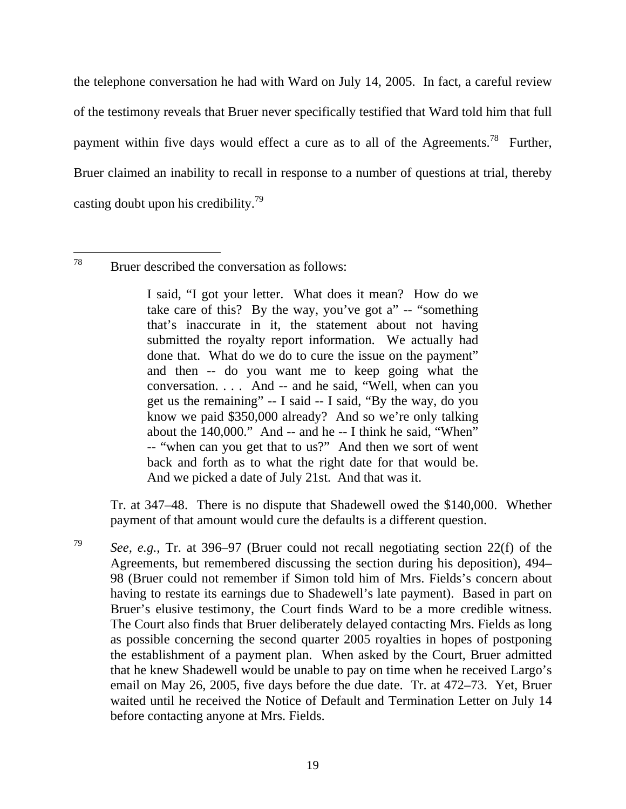the telephone conversation he had with Ward on July 14, 2005. In fact, a careful review of the testimony reveals that Bruer never specifically testified that Ward told him that full payment within five days would effect a cure as to all of the Agreements.<sup>78</sup> Further, Bruer claimed an inability to recall in response to a number of questions at trial, thereby casting doubt upon his credibility.<sup>79</sup>

I said, "I got your letter. What does it mean? How do we take care of this? By the way, you've got a" -- "something that's inaccurate in it, the statement about not having submitted the royalty report information. We actually had done that. What do we do to cure the issue on the payment" and then -- do you want me to keep going what the conversation. . . . And -- and he said, "Well, when can you get us the remaining" -- I said -- I said, "By the way, do you know we paid \$350,000 already? And so we're only talking about the 140,000." And -- and he -- I think he said, "When" -- "when can you get that to us?" And then we sort of went back and forth as to what the right date for that would be. And we picked a date of July 21st. And that was it.

 Tr. at 347–48. There is no dispute that Shadewell owed the \$140,000. Whether payment of that amount would cure the defaults is a different question.

<sup>79</sup> *See, e.g.*, Tr. at 396–97 (Bruer could not recall negotiating section 22(f) of the Agreements, but remembered discussing the section during his deposition), 494– 98 (Bruer could not remember if Simon told him of Mrs. Fields's concern about having to restate its earnings due to Shadewell's late payment). Based in part on Bruer's elusive testimony, the Court finds Ward to be a more credible witness. The Court also finds that Bruer deliberately delayed contacting Mrs. Fields as long as possible concerning the second quarter 2005 royalties in hopes of postponing the establishment of a payment plan. When asked by the Court, Bruer admitted that he knew Shadewell would be unable to pay on time when he received Largo's email on May 26, 2005, five days before the due date. Tr. at 472–73. Yet, Bruer waited until he received the Notice of Default and Termination Letter on July 14 before contacting anyone at Mrs. Fields.

<sup>78</sup> Bruer described the conversation as follows: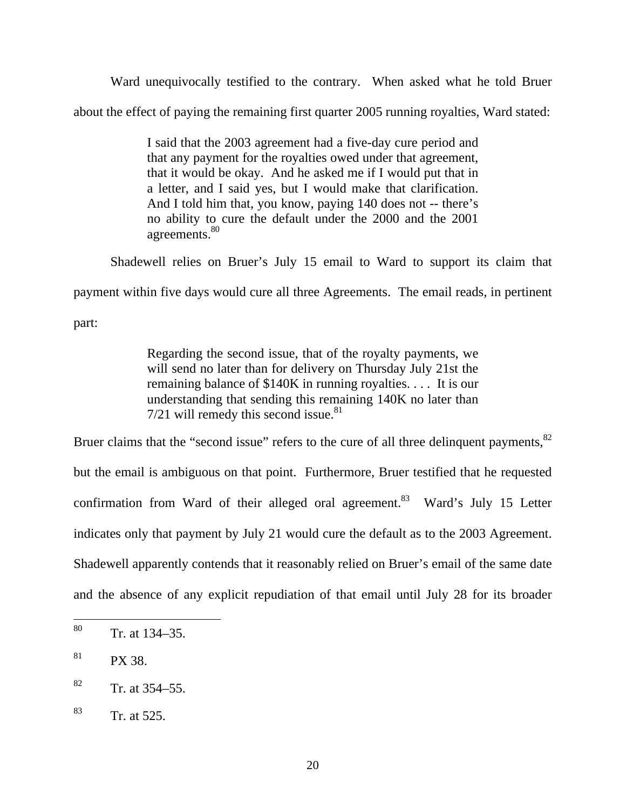Ward unequivocally testified to the contrary. When asked what he told Bruer

about the effect of paying the remaining first quarter 2005 running royalties, Ward stated:

I said that the 2003 agreement had a five-day cure period and that any payment for the royalties owed under that agreement, that it would be okay. And he asked me if I would put that in a letter, and I said yes, but I would make that clarification. And I told him that, you know, paying 140 does not -- there's no ability to cure the default under the 2000 and the 2001 agreements.<sup>80</sup>

Shadewell relies on Bruer's July 15 email to Ward to support its claim that

payment within five days would cure all three Agreements. The email reads, in pertinent

part:

Regarding the second issue, that of the royalty payments, we will send no later than for delivery on Thursday July 21st the remaining balance of \$140K in running royalties. . . . It is our understanding that sending this remaining 140K no later than  $7/21$  will remedy this second issue.<sup>81</sup>

Bruer claims that the "second issue" refers to the cure of all three delinquent payments, <sup>82</sup> but the email is ambiguous on that point. Furthermore, Bruer testified that he requested confirmation from Ward of their alleged oral agreement.<sup>83</sup> Ward's July 15 Letter indicates only that payment by July 21 would cure the default as to the 2003 Agreement. Shadewell apparently contends that it reasonably relied on Bruer's email of the same date and the absence of any explicit repudiation of that email until July 28 for its broader

<sup>80</sup> Tr. at 134–35.

 $81$  PX 38.

 $82$  Tr. at 354–55.

<sup>83</sup> Tr. at 525.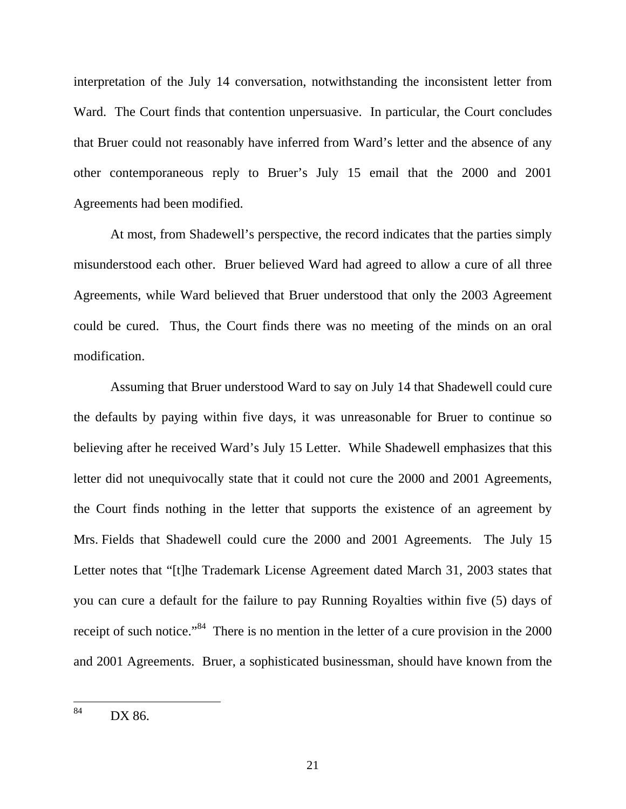interpretation of the July 14 conversation, notwithstanding the inconsistent letter from Ward. The Court finds that contention unpersuasive. In particular, the Court concludes that Bruer could not reasonably have inferred from Ward's letter and the absence of any other contemporaneous reply to Bruer's July 15 email that the 2000 and 2001 Agreements had been modified.

At most, from Shadewell's perspective, the record indicates that the parties simply misunderstood each other. Bruer believed Ward had agreed to allow a cure of all three Agreements, while Ward believed that Bruer understood that only the 2003 Agreement could be cured. Thus, the Court finds there was no meeting of the minds on an oral modification.

Assuming that Bruer understood Ward to say on July 14 that Shadewell could cure the defaults by paying within five days, it was unreasonable for Bruer to continue so believing after he received Ward's July 15 Letter. While Shadewell emphasizes that this letter did not unequivocally state that it could not cure the 2000 and 2001 Agreements, the Court finds nothing in the letter that supports the existence of an agreement by Mrs. Fields that Shadewell could cure the 2000 and 2001 Agreements. The July 15 Letter notes that "[t]he Trademark License Agreement dated March 31, 2003 states that you can cure a default for the failure to pay Running Royalties within five (5) days of receipt of such notice."<sup>84</sup> There is no mention in the letter of a cure provision in the 2000 and 2001 Agreements. Bruer, a sophisticated businessman, should have known from the

<sup>84</sup> DX 86.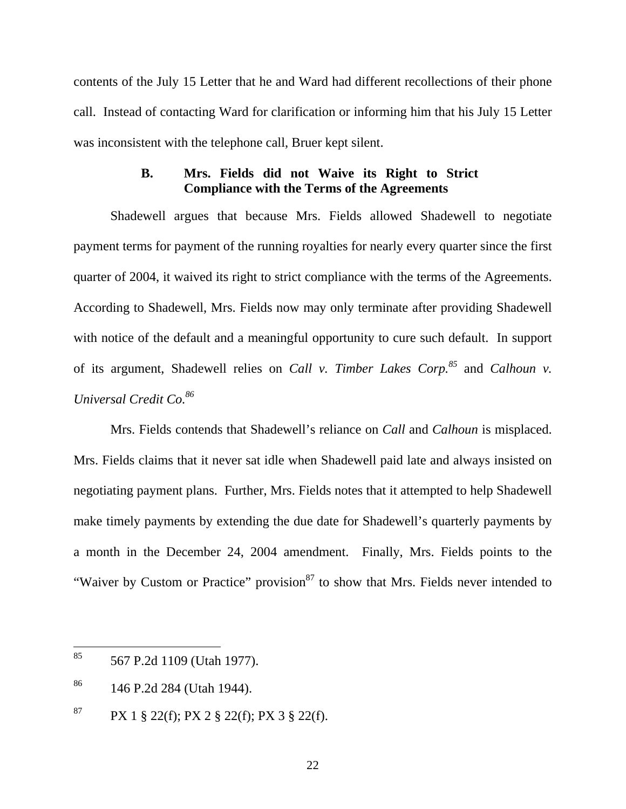contents of the July 15 Letter that he and Ward had different recollections of their phone call. Instead of contacting Ward for clarification or informing him that his July 15 Letter was inconsistent with the telephone call, Bruer kept silent.

# **B. Mrs. Fields did not Waive its Right to Strict Compliance with the Terms of the Agreements**

Shadewell argues that because Mrs. Fields allowed Shadewell to negotiate payment terms for payment of the running royalties for nearly every quarter since the first quarter of 2004, it waived its right to strict compliance with the terms of the Agreements. According to Shadewell, Mrs. Fields now may only terminate after providing Shadewell with notice of the default and a meaningful opportunity to cure such default. In support of its argument, Shadewell relies on *Call v. Timber Lakes Corp.85* and *Calhoun v. Universal Credit Co.86*

Mrs. Fields contends that Shadewell's reliance on *Call* and *Calhoun* is misplaced. Mrs. Fields claims that it never sat idle when Shadewell paid late and always insisted on negotiating payment plans. Further, Mrs. Fields notes that it attempted to help Shadewell make timely payments by extending the due date for Shadewell's quarterly payments by a month in the December 24, 2004 amendment. Finally, Mrs. Fields points to the "Waiver by Custom or Practice" provision<sup>87</sup> to show that Mrs. Fields never intended to

<sup>85</sup> 85 567 P.2d 1109 (Utah 1977).

<sup>86 146</sup> P.2d 284 (Utah 1944).

<sup>&</sup>lt;sup>87</sup> PX 1 § 22(f); PX 2 § 22(f); PX 3 § 22(f).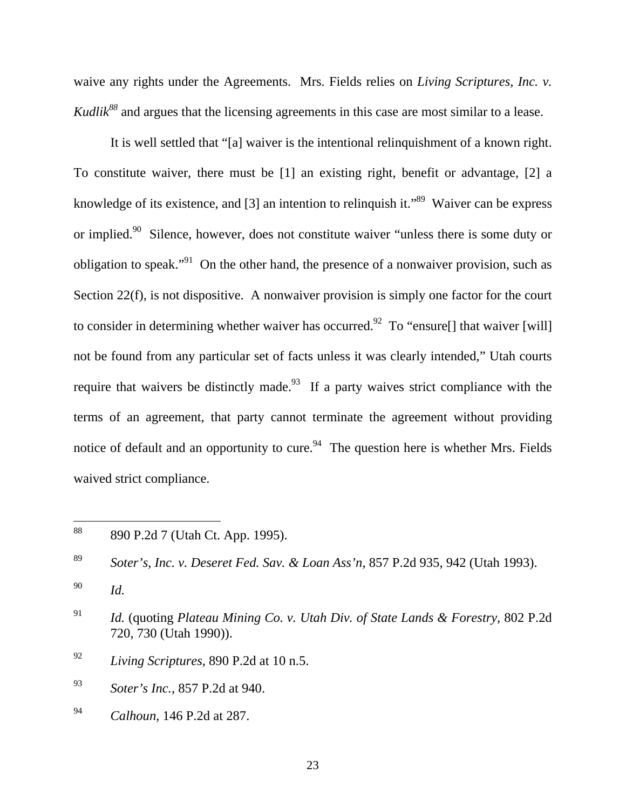waive any rights under the Agreements. Mrs. Fields relies on *Living Scriptures, Inc. v. Kudlik*<sup>88</sup> and argues that the licensing agreements in this case are most similar to a lease.

It is well settled that "[a] waiver is the intentional relinquishment of a known right. To constitute waiver, there must be [1] an existing right, benefit or advantage, [2] a knowledge of its existence, and [3] an intention to relinquish it."<sup>89</sup> Waiver can be express or implied.90 Silence, however, does not constitute waiver "unless there is some duty or obligation to speak."<sup>91</sup> On the other hand, the presence of a nonwaiver provision, such as Section 22(f), is not dispositive. A nonwaiver provision is simply one factor for the court to consider in determining whether waiver has occurred.<sup>92</sup> To "ensure<sup>[]</sup> that waiver [will] not be found from any particular set of facts unless it was clearly intended," Utah courts require that waivers be distinctly made.<sup>93</sup> If a party waives strict compliance with the terms of an agreement, that party cannot terminate the agreement without providing notice of default and an opportunity to cure.<sup>94</sup> The question here is whether Mrs. Fields waived strict compliance.

<sup>88 890</sup> P.2d 7 (Utah Ct. App. 1995).

<sup>89</sup> *Soter's, Inc. v. Deseret Fed. Sav. & Loan Ass'n*, 857 P.2d 935, 942 (Utah 1993).

<sup>90</sup> *Id.*

<sup>91</sup> *Id.* (quoting *Plateau Mining Co. v. Utah Div. of State Lands & Forestry*, 802 P.2d 720, 730 (Utah 1990)).

<sup>92</sup> *Living Scriptures*, 890 P.2d at 10 n.5.

<sup>93</sup> *Soter's Inc.*, 857 P.2d at 940.

<sup>94</sup> *Calhoun*, 146 P.2d at 287.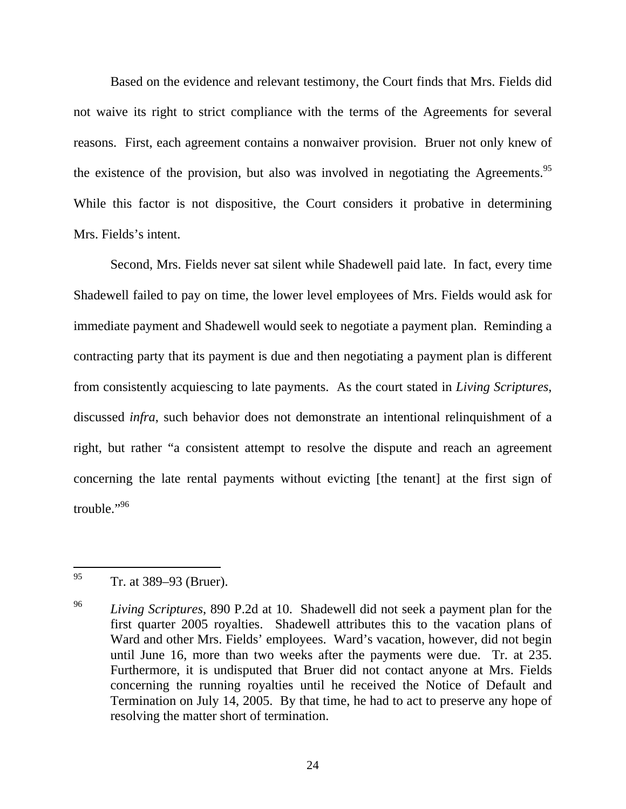Based on the evidence and relevant testimony, the Court finds that Mrs. Fields did not waive its right to strict compliance with the terms of the Agreements for several reasons. First, each agreement contains a nonwaiver provision. Bruer not only knew of the existence of the provision, but also was involved in negotiating the Agreements.<sup>95</sup> While this factor is not dispositive, the Court considers it probative in determining Mrs. Fields's intent.

Second, Mrs. Fields never sat silent while Shadewell paid late. In fact, every time Shadewell failed to pay on time, the lower level employees of Mrs. Fields would ask for immediate payment and Shadewell would seek to negotiate a payment plan. Reminding a contracting party that its payment is due and then negotiating a payment plan is different from consistently acquiescing to late payments. As the court stated in *Living Scriptures*, discussed *infra*, such behavior does not demonstrate an intentional relinquishment of a right, but rather "a consistent attempt to resolve the dispute and reach an agreement concerning the late rental payments without evicting [the tenant] at the first sign of trouble."<sup>96</sup>

 $^{95}$  Tr. at 389–93 (Bruer).

<sup>96</sup> *Living Scriptures*, 890 P.2d at 10. Shadewell did not seek a payment plan for the first quarter 2005 royalties. Shadewell attributes this to the vacation plans of Ward and other Mrs. Fields' employees. Ward's vacation, however, did not begin until June 16, more than two weeks after the payments were due. Tr. at 235. Furthermore, it is undisputed that Bruer did not contact anyone at Mrs. Fields concerning the running royalties until he received the Notice of Default and Termination on July 14, 2005. By that time, he had to act to preserve any hope of resolving the matter short of termination.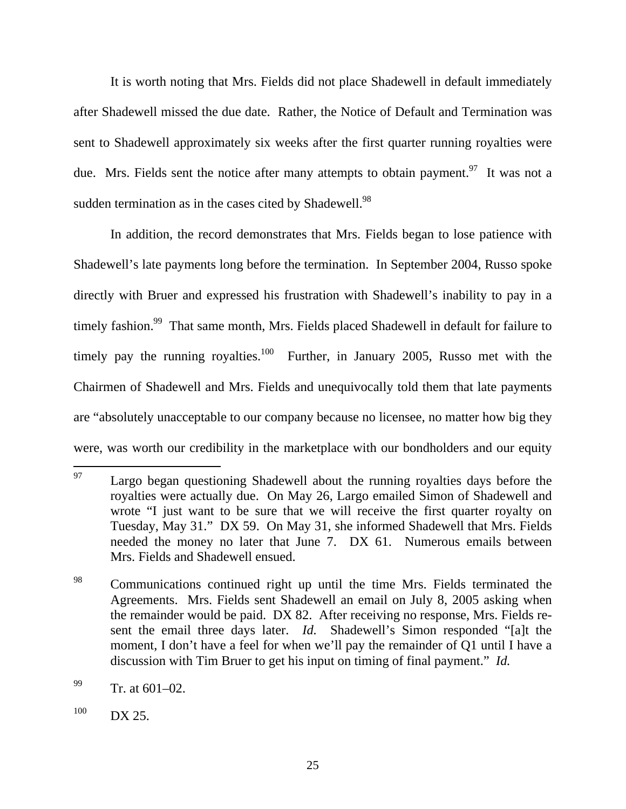It is worth noting that Mrs. Fields did not place Shadewell in default immediately after Shadewell missed the due date. Rather, the Notice of Default and Termination was sent to Shadewell approximately six weeks after the first quarter running royalties were due. Mrs. Fields sent the notice after many attempts to obtain payment.<sup>97</sup> It was not a sudden termination as in the cases cited by Shadewell.<sup>98</sup>

In addition, the record demonstrates that Mrs. Fields began to lose patience with Shadewell's late payments long before the termination. In September 2004, Russo spoke directly with Bruer and expressed his frustration with Shadewell's inability to pay in a timely fashion.<sup>99</sup> That same month, Mrs. Fields placed Shadewell in default for failure to timely pay the running royalties.<sup>100</sup> Further, in January 2005, Russo met with the Chairmen of Shadewell and Mrs. Fields and unequivocally told them that late payments are "absolutely unacceptable to our company because no licensee, no matter how big they were, was worth our credibility in the marketplace with our bondholders and our equity

<sup>97</sup> Largo began questioning Shadewell about the running royalties days before the royalties were actually due. On May 26, Largo emailed Simon of Shadewell and wrote "I just want to be sure that we will receive the first quarter royalty on Tuesday, May 31." DX 59. On May 31, she informed Shadewell that Mrs. Fields needed the money no later that June 7. DX 61. Numerous emails between Mrs. Fields and Shadewell ensued.

<sup>&</sup>lt;sup>98</sup> Communications continued right up until the time Mrs. Fields terminated the Agreements. Mrs. Fields sent Shadewell an email on July 8, 2005 asking when the remainder would be paid. DX 82. After receiving no response, Mrs. Fields resent the email three days later. *Id.* Shadewell's Simon responded "[a]t the moment, I don't have a feel for when we'll pay the remainder of Q1 until I have a discussion with Tim Bruer to get his input on timing of final payment." *Id.*

 $^{99}$  Tr. at 601–02.

 $100$  DX 25.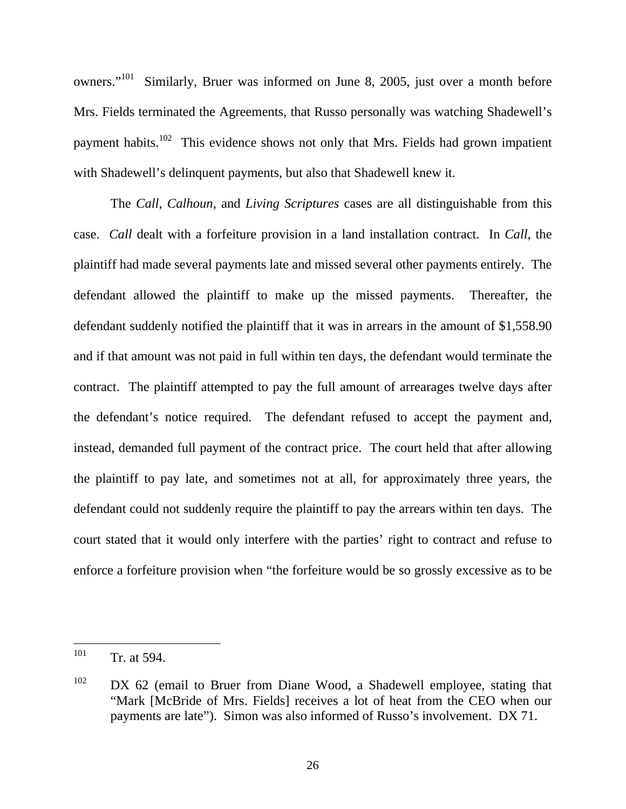owners."101 Similarly, Bruer was informed on June 8, 2005, just over a month before Mrs. Fields terminated the Agreements, that Russo personally was watching Shadewell's payment habits.<sup>102</sup> This evidence shows not only that Mrs. Fields had grown impatient with Shadewell's delinquent payments, but also that Shadewell knew it.

The *Call*, *Calhoun*, and *Living Scriptures* cases are all distinguishable from this case. *Call* dealt with a forfeiture provision in a land installation contract. In *Call*, the plaintiff had made several payments late and missed several other payments entirely. The defendant allowed the plaintiff to make up the missed payments. Thereafter, the defendant suddenly notified the plaintiff that it was in arrears in the amount of \$1,558.90 and if that amount was not paid in full within ten days, the defendant would terminate the contract. The plaintiff attempted to pay the full amount of arrearages twelve days after the defendant's notice required. The defendant refused to accept the payment and, instead, demanded full payment of the contract price. The court held that after allowing the plaintiff to pay late, and sometimes not at all, for approximately three years, the defendant could not suddenly require the plaintiff to pay the arrears within ten days. The court stated that it would only interfere with the parties' right to contract and refuse to enforce a forfeiture provision when "the forfeiture would be so grossly excessive as to be

<sup>101</sup> Tr. at 594.

 $102$  DX 62 (email to Bruer from Diane Wood, a Shadewell employee, stating that "Mark [McBride of Mrs. Fields] receives a lot of heat from the CEO when our payments are late"). Simon was also informed of Russo's involvement. DX 71.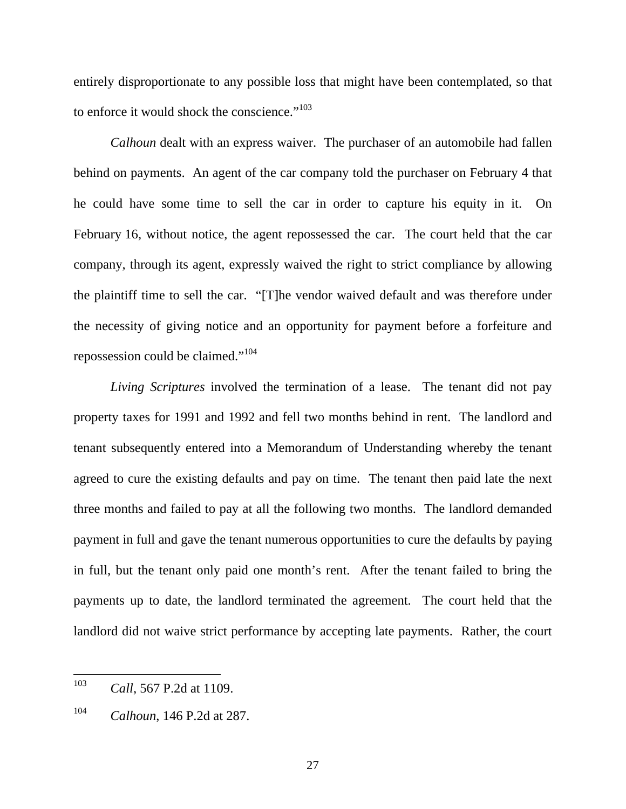entirely disproportionate to any possible loss that might have been contemplated, so that to enforce it would shock the conscience."<sup>103</sup>

*Calhoun* dealt with an express waiver. The purchaser of an automobile had fallen behind on payments. An agent of the car company told the purchaser on February 4 that he could have some time to sell the car in order to capture his equity in it. On February 16, without notice, the agent repossessed the car. The court held that the car company, through its agent, expressly waived the right to strict compliance by allowing the plaintiff time to sell the car. "[T]he vendor waived default and was therefore under the necessity of giving notice and an opportunity for payment before a forfeiture and repossession could be claimed."104

*Living Scriptures* involved the termination of a lease. The tenant did not pay property taxes for 1991 and 1992 and fell two months behind in rent. The landlord and tenant subsequently entered into a Memorandum of Understanding whereby the tenant agreed to cure the existing defaults and pay on time. The tenant then paid late the next three months and failed to pay at all the following two months. The landlord demanded payment in full and gave the tenant numerous opportunities to cure the defaults by paying in full, but the tenant only paid one month's rent. After the tenant failed to bring the payments up to date, the landlord terminated the agreement. The court held that the landlord did not waive strict performance by accepting late payments. Rather, the court

<sup>103</sup> *Call*, 567 P.2d at 1109.

<sup>104</sup> *Calhoun*, 146 P.2d at 287.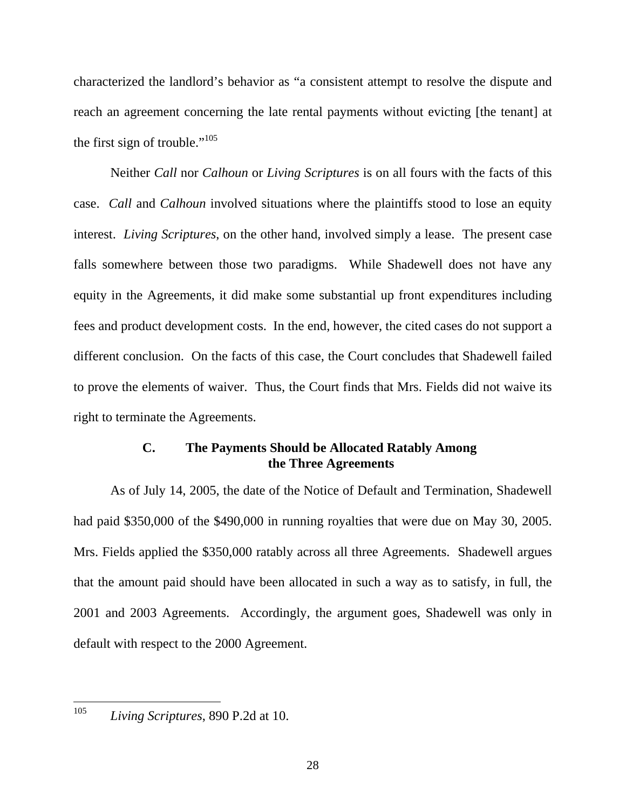characterized the landlord's behavior as "a consistent attempt to resolve the dispute and reach an agreement concerning the late rental payments without evicting [the tenant] at the first sign of trouble." $105$ 

Neither *Call* nor *Calhoun* or *Living Scriptures* is on all fours with the facts of this case. *Call* and *Calhoun* involved situations where the plaintiffs stood to lose an equity interest. *Living Scriptures*, on the other hand, involved simply a lease. The present case falls somewhere between those two paradigms. While Shadewell does not have any equity in the Agreements, it did make some substantial up front expenditures including fees and product development costs. In the end, however, the cited cases do not support a different conclusion. On the facts of this case, the Court concludes that Shadewell failed to prove the elements of waiver. Thus, the Court finds that Mrs. Fields did not waive its right to terminate the Agreements.

# **C. The Payments Should be Allocated Ratably Among the Three Agreements**

As of July 14, 2005, the date of the Notice of Default and Termination, Shadewell had paid \$350,000 of the \$490,000 in running royalties that were due on May 30, 2005. Mrs. Fields applied the \$350,000 ratably across all three Agreements. Shadewell argues that the amount paid should have been allocated in such a way as to satisfy, in full, the 2001 and 2003 Agreements. Accordingly, the argument goes, Shadewell was only in default with respect to the 2000 Agreement.

<sup>105</sup> *Living Scriptures*, 890 P.2d at 10.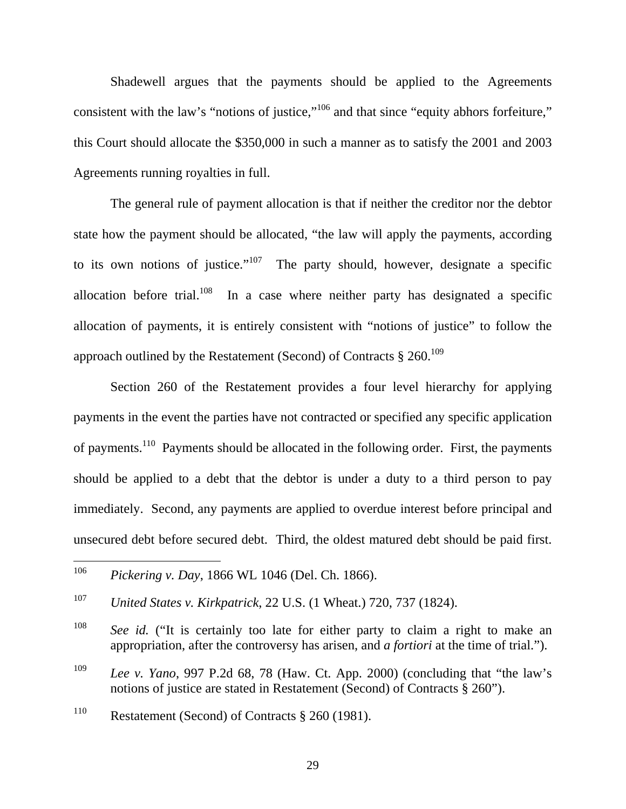Shadewell argues that the payments should be applied to the Agreements consistent with the law's "notions of justice,"<sup>106</sup> and that since "equity abhors forfeiture," this Court should allocate the \$350,000 in such a manner as to satisfy the 2001 and 2003 Agreements running royalties in full.

The general rule of payment allocation is that if neither the creditor nor the debtor state how the payment should be allocated, "the law will apply the payments, according to its own notions of justice."<sup>107</sup> The party should, however, designate a specific allocation before trial.<sup>108</sup> In a case where neither party has designated a specific allocation of payments, it is entirely consistent with "notions of justice" to follow the approach outlined by the Restatement (Second) of Contracts  $\S 260$ <sup>109</sup>

Section 260 of the Restatement provides a four level hierarchy for applying payments in the event the parties have not contracted or specified any specific application of payments.110 Payments should be allocated in the following order. First, the payments should be applied to a debt that the debtor is under a duty to a third person to pay immediately. Second, any payments are applied to overdue interest before principal and unsecured debt before secured debt. Third, the oldest matured debt should be paid first.

<sup>106</sup> <sup>106</sup> *Pickering v. Day*, 1866 WL 1046 (Del. Ch. 1866).

<sup>107</sup> *United States v. Kirkpatrick*, 22 U.S. (1 Wheat.) 720, 737 (1824).

<sup>108</sup> *See id.* ("It is certainly too late for either party to claim a right to make an appropriation, after the controversy has arisen, and *a fortiori* at the time of trial.").

<sup>109</sup> *Lee v. Yano*, 997 P.2d 68, 78 (Haw. Ct. App. 2000) (concluding that "the law's notions of justice are stated in Restatement (Second) of Contracts § 260").

<sup>110</sup> Restatement (Second) of Contracts § 260 (1981).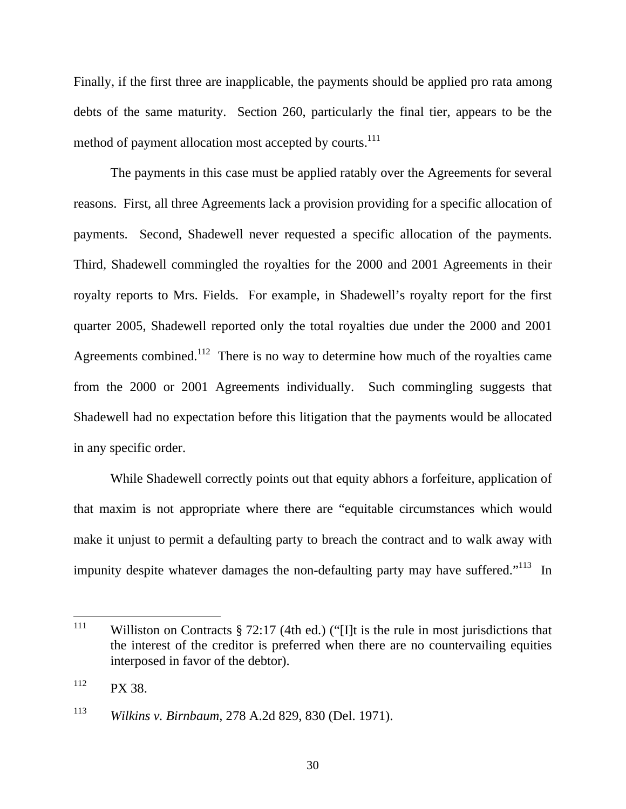Finally, if the first three are inapplicable, the payments should be applied pro rata among debts of the same maturity. Section 260, particularly the final tier, appears to be the method of payment allocation most accepted by courts.<sup>111</sup>

The payments in this case must be applied ratably over the Agreements for several reasons. First, all three Agreements lack a provision providing for a specific allocation of payments. Second, Shadewell never requested a specific allocation of the payments. Third, Shadewell commingled the royalties for the 2000 and 2001 Agreements in their royalty reports to Mrs. Fields. For example, in Shadewell's royalty report for the first quarter 2005, Shadewell reported only the total royalties due under the 2000 and 2001 Agreements combined.<sup>112</sup> There is no way to determine how much of the royalties came from the 2000 or 2001 Agreements individually. Such commingling suggests that Shadewell had no expectation before this litigation that the payments would be allocated in any specific order.

While Shadewell correctly points out that equity abhors a forfeiture, application of that maxim is not appropriate where there are "equitable circumstances which would make it unjust to permit a defaulting party to breach the contract and to walk away with impunity despite whatever damages the non-defaulting party may have suffered. $113$  In

<sup>111</sup> Williston on Contracts  $\S 72:17$  (4th ed.) ("IIt is the rule in most jurisdictions that the interest of the creditor is preferred when there are no countervailing equities interposed in favor of the debtor).

 $112$  PX 38.

<sup>113</sup> *Wilkins v. Birnbaum*, 278 A.2d 829, 830 (Del. 1971).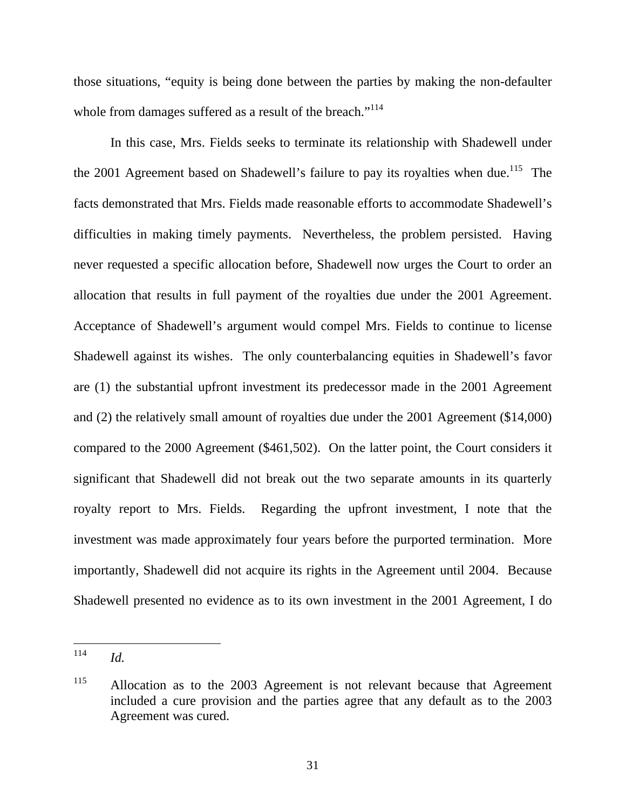those situations, "equity is being done between the parties by making the non-defaulter whole from damages suffered as a result of the breach."<sup>114</sup>

In this case, Mrs. Fields seeks to terminate its relationship with Shadewell under the 2001 Agreement based on Shadewell's failure to pay its royalties when due.<sup>115</sup> The facts demonstrated that Mrs. Fields made reasonable efforts to accommodate Shadewell's difficulties in making timely payments. Nevertheless, the problem persisted. Having never requested a specific allocation before, Shadewell now urges the Court to order an allocation that results in full payment of the royalties due under the 2001 Agreement. Acceptance of Shadewell's argument would compel Mrs. Fields to continue to license Shadewell against its wishes. The only counterbalancing equities in Shadewell's favor are (1) the substantial upfront investment its predecessor made in the 2001 Agreement and (2) the relatively small amount of royalties due under the 2001 Agreement (\$14,000) compared to the 2000 Agreement (\$461,502). On the latter point, the Court considers it significant that Shadewell did not break out the two separate amounts in its quarterly royalty report to Mrs. Fields. Regarding the upfront investment, I note that the investment was made approximately four years before the purported termination. More importantly, Shadewell did not acquire its rights in the Agreement until 2004. Because Shadewell presented no evidence as to its own investment in the 2001 Agreement, I do

<sup>114</sup> *Id.* 

<sup>&</sup>lt;sup>115</sup> Allocation as to the 2003 Agreement is not relevant because that Agreement included a cure provision and the parties agree that any default as to the 2003 Agreement was cured.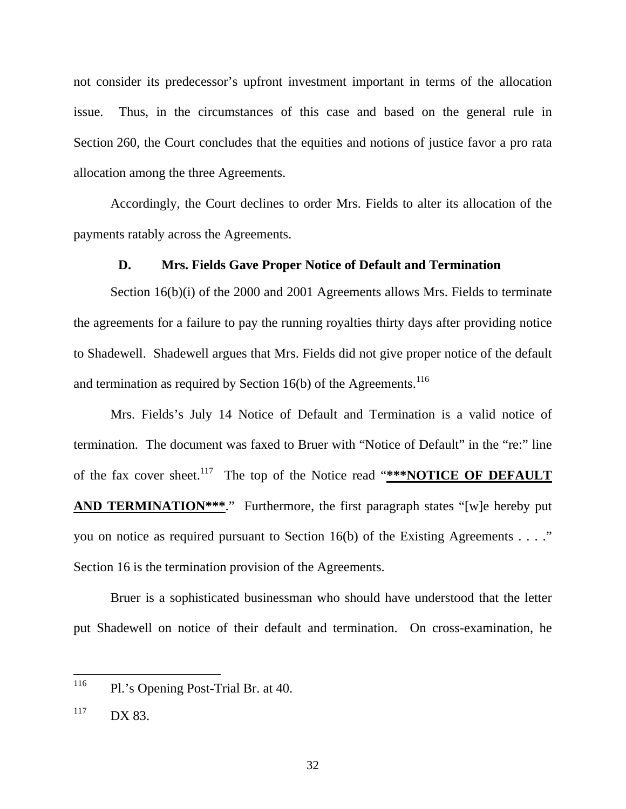not consider its predecessor's upfront investment important in terms of the allocation issue. Thus, in the circumstances of this case and based on the general rule in Section 260, the Court concludes that the equities and notions of justice favor a pro rata allocation among the three Agreements.

Accordingly, the Court declines to order Mrs. Fields to alter its allocation of the payments ratably across the Agreements.

# **D. Mrs. Fields Gave Proper Notice of Default and Termination**

Section 16(b)(i) of the 2000 and 2001 Agreements allows Mrs. Fields to terminate the agreements for a failure to pay the running royalties thirty days after providing notice to Shadewell. Shadewell argues that Mrs. Fields did not give proper notice of the default and termination as required by Section  $16(b)$  of the Agreements.<sup>116</sup>

Mrs. Fields's July 14 Notice of Default and Termination is a valid notice of termination. The document was faxed to Bruer with "Notice of Default" in the "re:" line of the fax cover sheet.<sup>117</sup> The top of the Notice read "\*\*\*NOTICE OF DEFAULT **AND TERMINATION\*\*\*.**" Furthermore, the first paragraph states "[w]e hereby put you on notice as required pursuant to Section 16(b) of the Existing Agreements . . . ." Section 16 is the termination provision of the Agreements.

Bruer is a sophisticated businessman who should have understood that the letter put Shadewell on notice of their default and termination. On cross-examination, he

<sup>116</sup> Pl.'s Opening Post-Trial Br. at 40.

 $117$  DX 83.